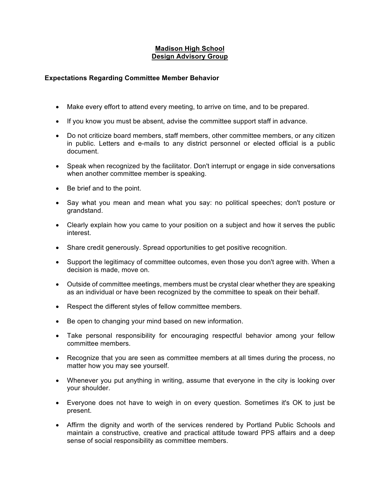## **Madison High School Design Advisory Group**

## **Expectations Regarding Committee Member Behavior**

- Make every effort to attend every meeting, to arrive on time, and to be prepared.
- If you know you must be absent, advise the committee support staff in advance.
- Do not criticize board members, staff members, other committee members, or any citizen in public. Letters and e-mails to any district personnel or elected official is a public document.
- Speak when recognized by the facilitator. Don't interrupt or engage in side conversations when another committee member is speaking.
- Be brief and to the point.
- Say what you mean and mean what you say: no political speeches; don't posture or grandstand.
- Clearly explain how you came to your position on a subject and how it serves the public interest.
- Share credit generously. Spread opportunities to get positive recognition.
- Support the legitimacy of committee outcomes, even those you don't agree with. When a decision is made, move on.
- Outside of committee meetings, members must be crystal clear whether they are speaking as an individual or have been recognized by the committee to speak on their behalf.
- Respect the different styles of fellow committee members.
- Be open to changing your mind based on new information.
- Take personal responsibility for encouraging respectful behavior among your fellow committee members.
- Recognize that you are seen as committee members at all times during the process, no matter how you may see yourself.
- Whenever you put anything in writing, assume that everyone in the city is looking over your shoulder.
- Everyone does not have to weigh in on every question. Sometimes it's OK to just be present.
- Affirm the dignity and worth of the services rendered by Portland Public Schools and maintain a constructive, creative and practical attitude toward PPS affairs and a deep sense of social responsibility as committee members.